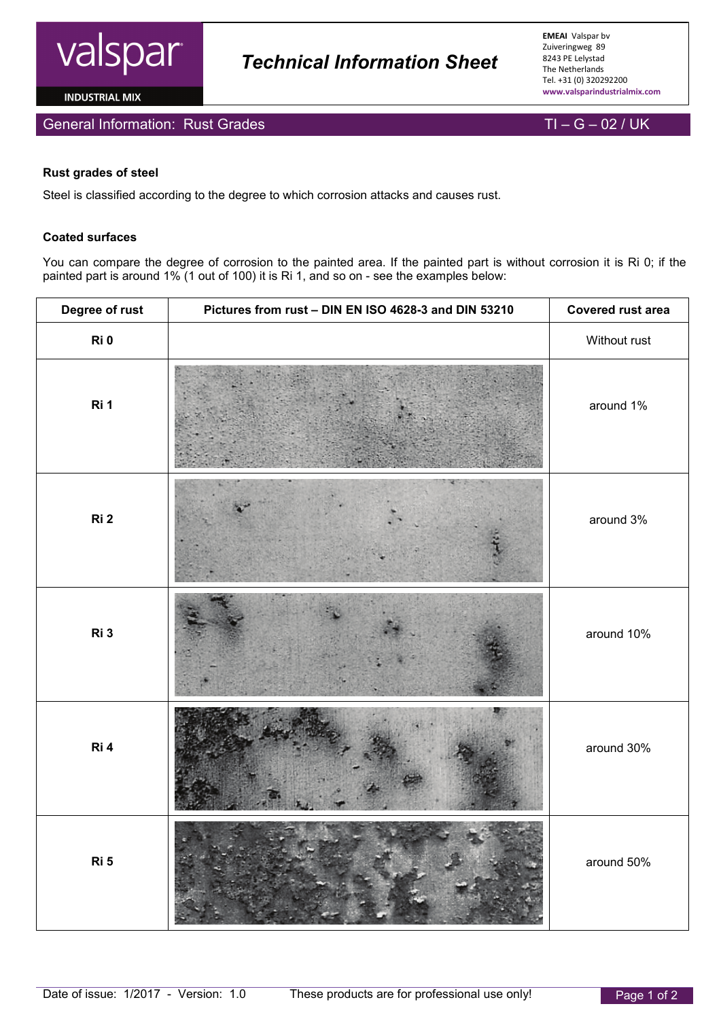

**INDUSTRIAL MIX** 



## **Rust grades of steel**

Steel is classified according to the degree to which corrosion attacks and causes rust.

## **Coated surfaces**

You can compare the degree of corrosion to the painted area. If the painted part is without corrosion it is Ri 0; if the painted part is around 1% (1 out of 100) it is Ri 1, and so on - see the examples below:

 *Technical Information Sheet*

| Degree of rust  | Pictures from rust - DIN EN ISO 4628-3 and DIN 53210 | Covered rust area |
|-----------------|------------------------------------------------------|-------------------|
| Ri 0            |                                                      | Without rust      |
| Ri 1            |                                                      | around 1%         |
| Ri <sub>2</sub> |                                                      | around 3%         |
| Ri 3            |                                                      | around 10%        |
| Ri 4            |                                                      | around 30%        |
| Ri 5            |                                                      | around 50%        |